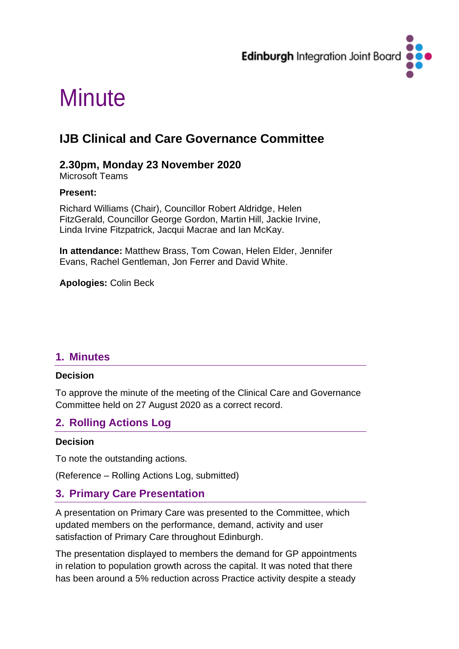

# **Minute**

## **IJB Clinical and Care Governance Committee**

#### **2.30pm, Monday 23 November 2020**

Microsoft Teams

#### **Present:**

Richard Williams (Chair), Councillor Robert Aldridge, Helen FitzGerald, Councillor George Gordon, Martin Hill, Jackie Irvine, Linda Irvine Fitzpatrick, Jacqui Macrae and Ian McKay.

**In attendance:** Matthew Brass, Tom Cowan, Helen Elder, Jennifer Evans, Rachel Gentleman, Jon Ferrer and David White.

**Apologies:** Colin Beck

## **1. Minutes**

#### **Decision**

To approve the minute of the meeting of the Clinical Care and Governance Committee held on 27 August 2020 as a correct record.

## **2. Rolling Actions Log**

#### **Decision**

To note the outstanding actions.

(Reference – Rolling Actions Log, submitted)

## **3. Primary Care Presentation**

A presentation on Primary Care was presented to the Committee, which updated members on the performance, demand, activity and user satisfaction of Primary Care throughout Edinburgh.

The presentation displayed to members the demand for GP appointments in relation to population growth across the capital. It was noted that there has been around a 5% reduction across Practice activity despite a steady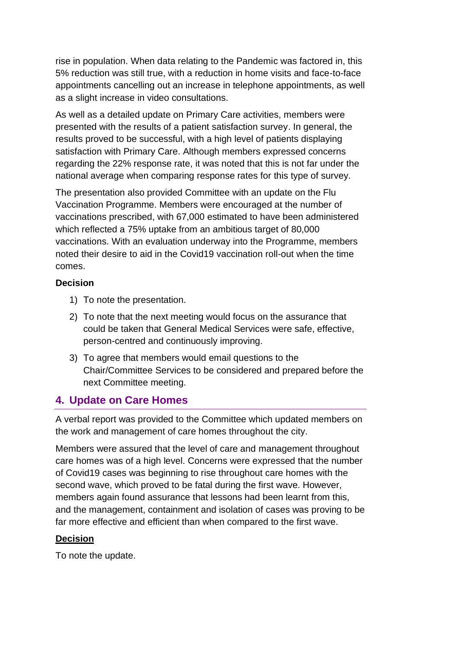rise in population. When data relating to the Pandemic was factored in, this 5% reduction was still true, with a reduction in home visits and face-to-face appointments cancelling out an increase in telephone appointments, as well as a slight increase in video consultations.

As well as a detailed update on Primary Care activities, members were presented with the results of a patient satisfaction survey. In general, the results proved to be successful, with a high level of patients displaying satisfaction with Primary Care. Although members expressed concerns regarding the 22% response rate, it was noted that this is not far under the national average when comparing response rates for this type of survey.

The presentation also provided Committee with an update on the Flu Vaccination Programme. Members were encouraged at the number of vaccinations prescribed, with 67,000 estimated to have been administered which reflected a 75% uptake from an ambitious target of 80,000 vaccinations. With an evaluation underway into the Programme, members noted their desire to aid in the Covid19 vaccination roll-out when the time comes.

#### **Decision**

- 1) To note the presentation.
- 2) To note that the next meeting would focus on the assurance that could be taken that General Medical Services were safe, effective, person-centred and continuously improving.
- 3) To agree that members would email questions to the Chair/Committee Services to be considered and prepared before the next Committee meeting.

## **4. Update on Care Homes**

A verbal report was provided to the Committee which updated members on the work and management of care homes throughout the city.

Members were assured that the level of care and management throughout care homes was of a high level. Concerns were expressed that the number of Covid19 cases was beginning to rise throughout care homes with the second wave, which proved to be fatal during the first wave. However, members again found assurance that lessons had been learnt from this, and the management, containment and isolation of cases was proving to be far more effective and efficient than when compared to the first wave.

#### **Decision**

To note the update.